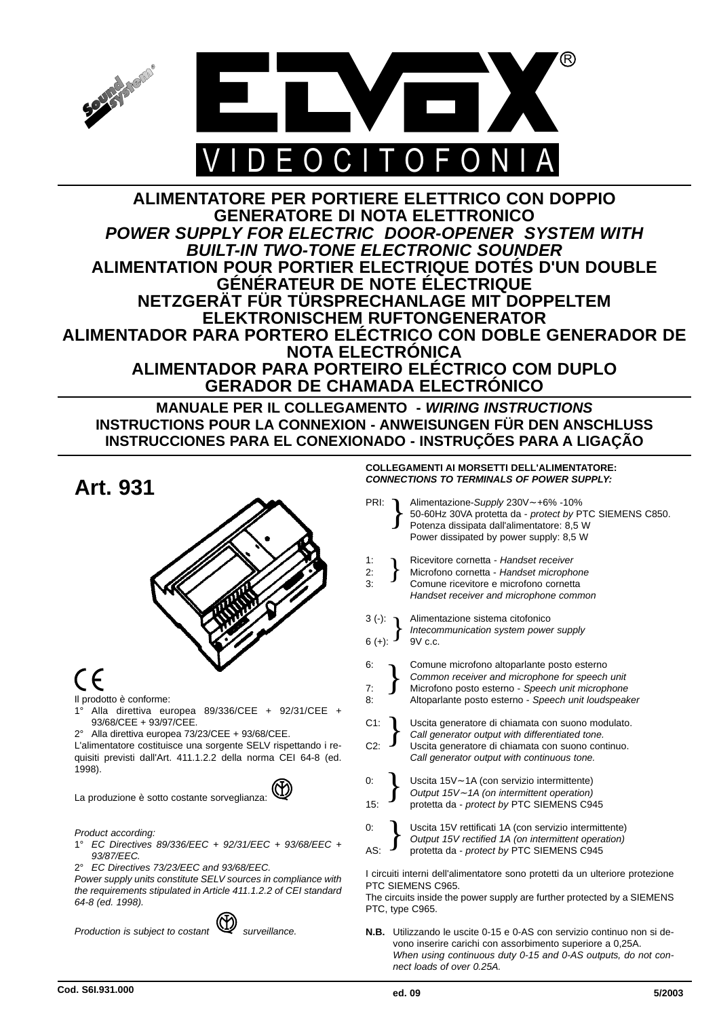

# **ALIMENTATORE PER PORTIERE ELETTRICO CON DOPPIO GENERATORE DI NOTA ELETTRONICO** *POWER SUPPLY FOR ELECTRIC DOOR-OPENER SYSTEM WITH BUILT-IN TWO-TONE ELECTRONIC SOUNDER* **ALIMENTATION POUR PORTIER ELECTRIQUE DOTÉS D'UN DOUBLE GÉNÉRATEUR DE NOTE ÉLECTRIQUE NETZGERÄT FÜR TÜRSPRECHANLAGE MIT DOPPELTEM ELEKTRONISCHEM RUFTONGENERATOR ALIMENTADOR PARA PORTERO ELÉCTRICO CON DOBLE GENERADOR DE NOTA ELECTRÓNICA ALIMENTADOR PARA PORTEIRO ELÉCTRICO COM DUPLO GERADOR DE CHAMADA ELECTRÓNICO**

**MANUALE PER IL COLLEGAMENTO -** *WIRING INSTRUCTIONS* **INSTRUCTIONS POUR LA CONNEXION - ANWEISUNGEN FÜR DEN ANSCHLUSS INSTRUCCIONES PARA EL CONEXIONADO - INSTRUÇÕES PARA A LIGAÇÃO**

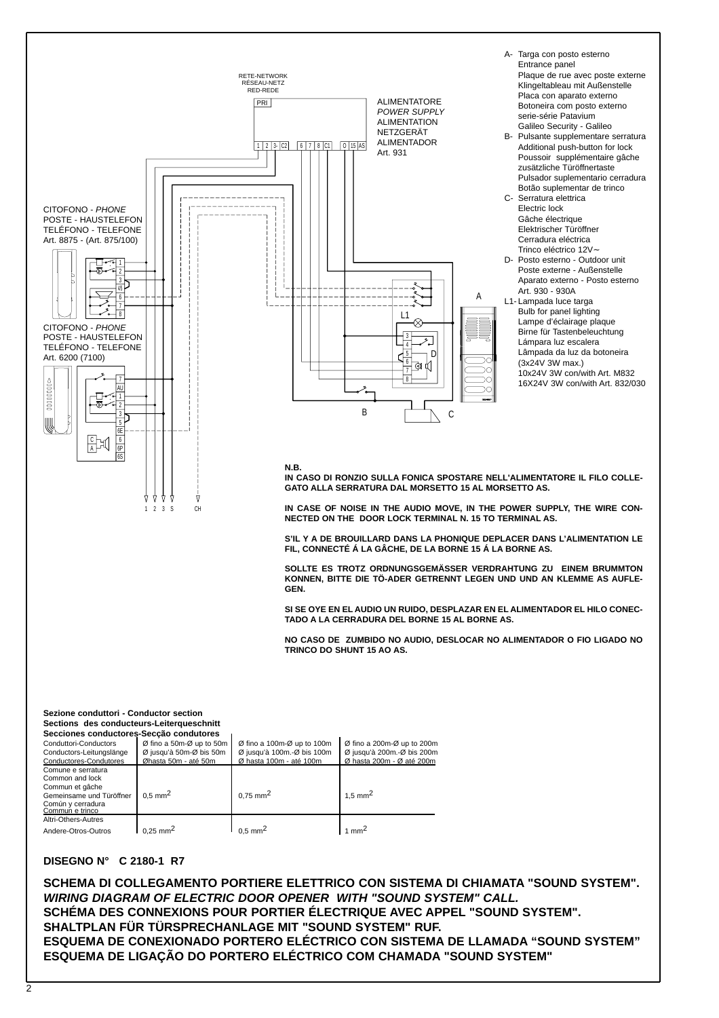

### **DISEGNO N° C 2180-1 R7**

**SCHEMA DI COLLEGAMENTO PORTIERE ELETTRICO CON SISTEMA DI CHIAMATA "SOUND SYSTEM".** *WIRING DIAGRAM OF ELECTRIC DOOR OPENER WITH "SOUND SYSTEM" CALL.* **SCHÉMA DES CONNEXIONS POUR PORTIER ÉLECTRIQUE AVEC APPEL "SOUND SYSTEM". SHALTPLAN FÜR TÜRSPRECHANLAGE MIT "SOUND SYSTEM" RUF. ESQUEMA DE CONEXIONADO PORTERO ELÉCTRICO CON SISTEMA DE LLAMADA "SOUND SYSTEM" ESQUEMA DE LIGAÇÃO DO PORTERO ELÉCTRICO COM CHAMADA "SOUND SYSTEM"**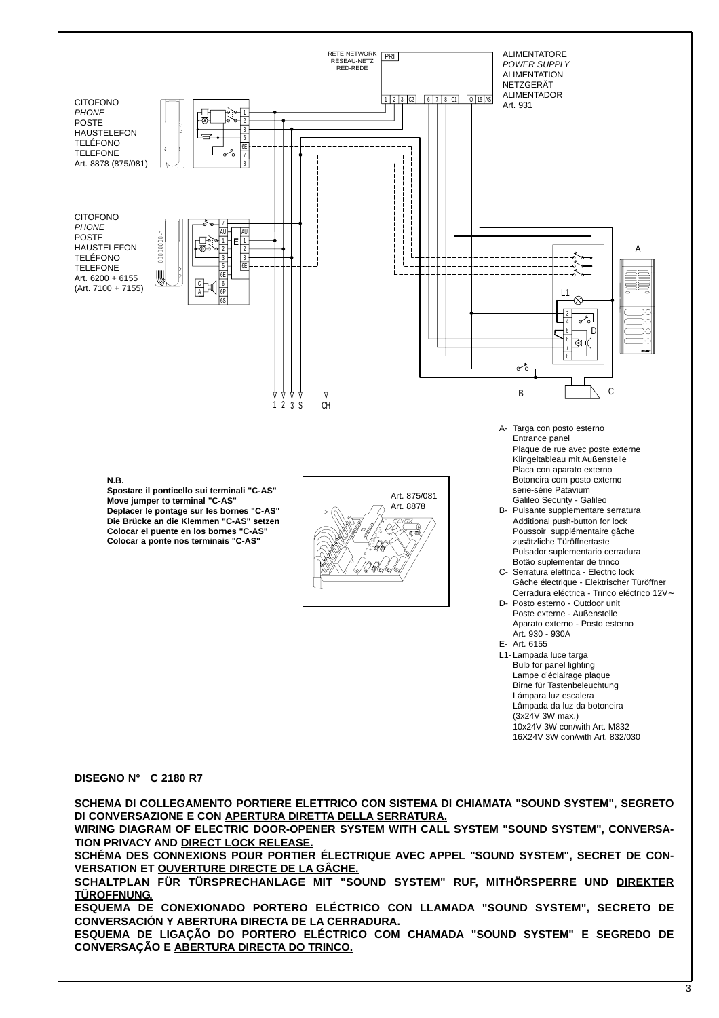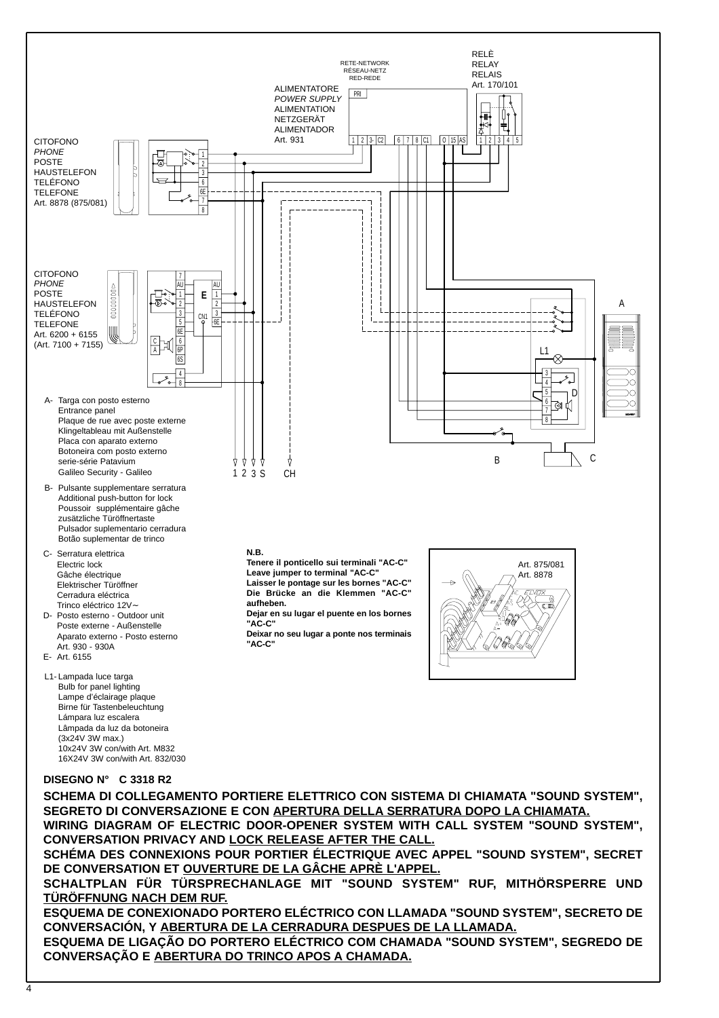

**SEGRETO DI CONVERSAZIONE E CON APERTURA DELLA SERRATURA DOPO LA CHIAMATA.**

**WIRING DIAGRAM OF ELECTRIC DOOR-OPENER SYSTEM WITH CALL SYSTEM "SOUND SYSTEM", CONVERSATION PRIVACY AND LOCK RELEASE AFTER THE CALL.**

**SCHÉMA DES CONNEXIONS POUR PORTIER ÉLECTRIQUE AVEC APPEL "SOUND SYSTEM", SECRET DE CONVERSATION ET OUVERTURE DE LA GÂCHE APRÈ L'APPEL.**

**SCHALTPLAN FÜR TÜRSPRECHANLAGE MIT "SOUND SYSTEM" RUF, MITHÖRSPERRE UND TÜRÖFFNUNG NACH DEM RUF.**

**ESQUEMA DE CONEXIONADO PORTERO ELÉCTRICO CON LLAMADA "SOUND SYSTEM", SECRETO DE CONVERSACIÓN, Y ABERTURA DE LA CERRADURA DESPUES DE LA LLAMADA.**

**ESQUEMA DE LIGAÇÃO DO PORTERO ELÉCTRICO COM CHAMADA "SOUND SYSTEM", SEGREDO DE CONVERSAÇÃO E ABERTURA DO TRINCO APOS A CHAMADA.**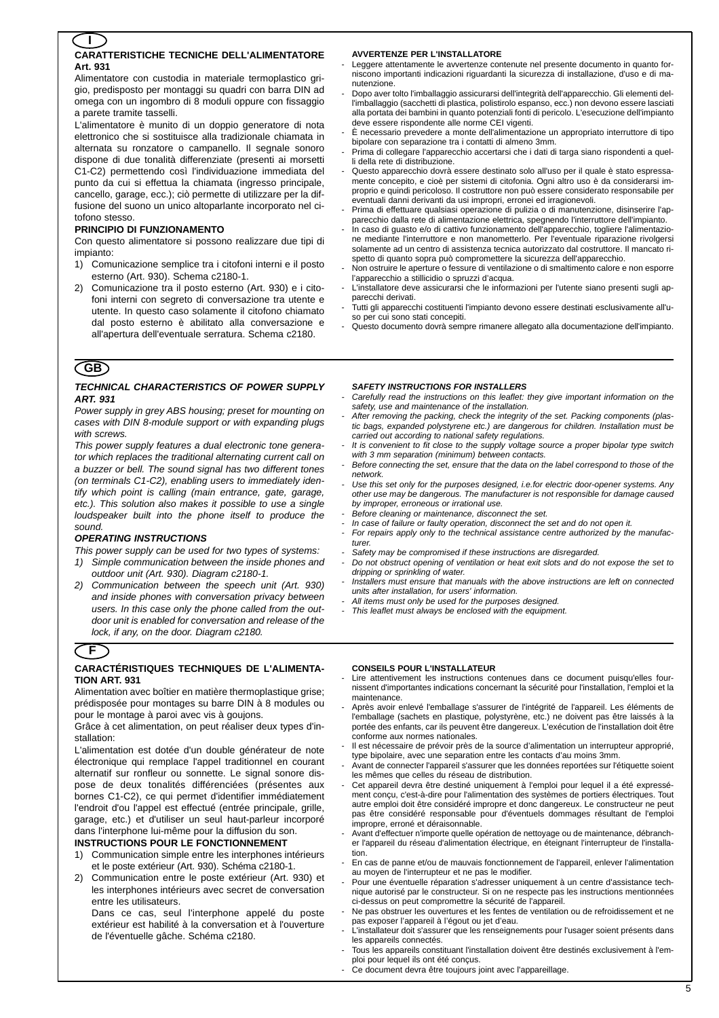### **CARATTERISTICHE TECNICHE DELL'ALIMENTATORE Art. 931 I**

Alimentatore con custodia in materiale termoplastico grigio, predisposto per montaggi su quadri con barra DIN ad omega con un ingombro di 8 moduli oppure con fissaggio a parete tramite tasselli.

L'alimentatore è munito di un doppio generatore di nota elettronico che si sostituisce alla tradizionale chiamata in alternata su ronzatore o campanello. Il segnale sonoro dispone di due tonalità differenziate (presenti ai morsetti C1-C2) permettendo così l'individuazione immediata del punto da cui si effettua la chiamata (ingresso principale, cancello, garage, ecc.); ciò permette di utilizzare per la diffusione del suono un unico altoparlante incorporato nel citofono stesso.

### **PRINCIPIO DI FUNZIONAMENTO**

Con questo alimentatore si possono realizzare due tipi di impianto:

- 1) Comunicazione semplice tra i citofoni interni e il posto esterno (Art. 930). Schema c2180-1.
- 2) Comunicazione tra il posto esterno (Art. 930) e i citofoni interni con segreto di conversazione tra utente e utente. In questo caso solamente il citofono chiamato dal posto esterno è abilitato alla conversazione e all'apertura dell'eventuale serratura. Schema c2180.

# **GB**

### *TECHNICAL CHARACTERISTICS OF POWER SUPPLY ART. 931*

*Power supply in grey ABS housing; preset for mounting on cases with DIN 8-module support or with expanding plugs with screws.*

*This power supply features a dual electronic tone generator which replaces the traditional alternating current call on a buzzer or bell. The sound signal has two different tones (on terminals C1-C2), enabling users to immediately identify which point is calling (main entrance, gate, garage, etc.). This solution also makes it possible to use a single loudspeaker built into the phone itself to produce the sound.*

### *OPERATING INSTRUCTIONS*

- *This power supply can be used for two types of systems:*
- *1) Simple communication between the inside phones and outdoor unit (Art. 930). Diagram c2180-1.*
- *2) Communication between the speech unit (Art. 930) and inside phones with conversation privacy between users. In this case only the phone called from the outdoor unit is enabled for conversation and release of the lock, if any, on the door. Diagram c2180.*

# **F**

### **CARACTÉRISTIQUES TECHNIQUES DE L'ALIMENTA-TION ART. 931**

Alimentation avec boîtier en matière thermoplastique grise; prédisposée pour montages su barre DIN à 8 modules ou pour le montage à paroi avec vis à goujons.

Grâce à cet alimentation, on peut réaliser deux types d'installation:

L'alimentation est dotée d'un double générateur de note électronique qui remplace l'appel traditionnel en courant alternatif sur ronfleur ou sonnette. Le signal sonore dispose de deux tonalités différenciées (présentes aux bornes C1-C2), ce qui permet d'identifier immédiatement l'endroit d'ou l'appel est effectué (entrée principale, grille, garage, etc.) et d'utiliser un seul haut-parleur incorporé dans l'interphone lui-même pour la diffusion du son.

### **INSTRUCTIONS POUR LE FONCTIONNEMENT**

- 1) Communication simple entre les interphones intérieurs et le poste extérieur (Art. 930). Schéma c2180-1.
- 2) Communication entre le poste extérieur (Art. 930) et les interphones intérieurs avec secret de conversation entre les utilisateurs.

Dans ce cas, seul l'interphone appelé du poste extérieur est habilité à la conversation et à l'ouverture de l'éventuelle gâche. Schéma c2180.

### **AVVERTENZE PER L'INSTALLATORE**

- Leggere attentamente le avvertenze contenute nel presente documento in quanto forniscono importanti indicazioni riguardanti la sicurezza di installazione, d'uso e di manutenzione.
- Dopo aver tolto l'imballaggio assicurarsi dell'integrità dell'apparecchio. Gli elementi dell'imballaggio (sacchetti di plastica, polistirolo espanso, ecc.) non devono essere lasciati alla portata dei bambini in quanto potenziali fonti di pericolo. L'esecuzione dell'impianto deve essere rispondente alle norme CEI vigenti.
- È necessario prevedere a monte dell'alimentazione un appropriato interruttore di tipo bipolare con separazione tra i contatti di almeno 3mm.
- Prima di collegare l'apparecchio accertarsi che i dati di targa siano rispondenti a quelli della rete di distribuzione.
- Questo apparecchio dovrà essere destinato solo all'uso per il quale è stato espressamente concepito, e cioè per sistemi di citofonia. Ogni altro uso è da considerarsi improprio e quindi pericoloso. Il costruttore non può essere considerato responsabile per eventuali danni derivanti da usi impropri, erronei ed irragionevoli.
- Prima di effettuare qualsiasi operazione di pulizia o di manutenzione, disinserire l'apparecchio dalla rete di alimentazione elettrica, spegnendo l'interruttore dell'impianto.
- In caso di guasto e/o di cattivo funzionamento dell'apparecchio, togliere l'alimentazione mediante l'interruttore e non manometterlo. Per l'eventuale riparazione rivolgersi solamente ad un centro di assistenza tecnica autorizzato dal costruttore. Il mancato rispetto di quanto sopra può compromettere la sicurezza dell'apparecchio.
- Non ostruire le aperture o fessure di ventilazione o di smaltimento calore e non esporre l'apparecchio a stillicidio o spruzzi d'acqua.
- L'installatore deve assicurarsi che le informazioni per l'utente siano presenti sugli apparecchi derivati.
- Tutti gli apparecchi costituenti l'impianto devono essere destinati esclusivamente all'uso per cui sono stati concepiti.
- Questo documento dovrà sempre rimanere allegato alla documentazione dell'impianto.

#### *SAFETY INSTRUCTIONS FOR INSTALLERS*

- *Carefully read the instructions on this leaflet: they give important information on the safety, use and maintenance of the installation.*
- *After removing the packing, check the integrity of the set. Packing components (plastic bags, expanded polystyrene etc.) are dangerous for children. Installation must be carried out according to national safety regulations.*
- *It is convenient to fit close to the supply voltage source a proper bipolar type switch with 3 mm separation (minimum) between contacts.*
- *Before connecting the set, ensure that the data on the label correspond to those of the network.*
- Use this set only for the purposes designed, i.e.for electric door-opener systems. Any *other use may be dangerous. The manufacturer is not responsible for damage caused by improper, erroneous or irrational use.*
- *Before cleaning or maintenance, disconnect the set.*
- *In case of failure or faulty operation, disconnect the set and do not open it.*
- *For repairs apply only to the technical assistance centre authorized by the manufacturer.*
- *Safety may be compromised if these instructions are disregarded.*
- *Do not obstruct opening of ventilation or heat exit slots and do not expose the set to dripping or sprinkling of water.*
- *Installers must ensure that manuals with the above instructions are left on connected units after installation, for users' information.*
- *All items must only be used for the purposes designed.*
- *This leaflet must always be enclosed with the equipment.*

#### **CONSEILS POUR L'INSTALLATEUR**

- Lire attentivement les instructions contenues dans ce document puisqu'elles fournissent d'importantes indications concernant la sécurité pour l'installation, l'emploi et la maintenance.
- Après avoir enlevé l'emballage s'assurer de l'intégrité de l'appareil. Les éléments de l'emballage (sachets en plastique, polystyrène, etc.) ne doivent pas être laissés à la portée des enfants, car ils peuvent être dangereux. L'exécution de l'installation doit être conforme aux normes nationales.
- Il est nécessaire de prévoir près de la source d'alimentation un interrupteur approprié, type bipolaire, avec une separation entre les contacts d'au moins 3mm.
- Avant de connecter l'appareil s'assurer que les données reportées sur l'étiquette soient les mêmes que celles du réseau de distribution.
- Cet appareil devra être destiné uniquement à l'emploi pour lequel il a été expressément conçu, c'est-à-dire pour l'alimentation des systèmes de portiers électriques. Tout autre emploi doit être considéré impropre et donc dangereux. Le constructeur ne peut pas être considéré responsable pour d'éventuels dommages résultant de l'emploi impropre, erroné et déraisonnable.
- Avant d'effectuer n'importe quelle opération de nettoyage ou de maintenance, débrancher l'appareil du réseau d'alimentation électrique, en éteignant l'interrupteur de l'installation.
- En cas de panne et/ou de mauvais fonctionnement de l'appareil, enlever l'alimentation au moyen de l'interrupteur et ne pas le modifier.
- Pour une éventuelle réparation s'adresser uniquement à un centre d'assistance technique autorisé par le constructeur. Si on ne respecte pas les instructions mentionnées ci-dessus on peut compromettre la sécurité de l'appareil.
- Ne pas obstruer les ouvertures et les fentes de ventilation ou de refroidissement et ne pas exposer l'appareil à l'égout ou jet d'eau.
- L'installateur doit s'assurer que les renseignements pour l'usager soient présents dans les appareils connectés.
- Tous les appareils constituant l'installation doivent être destinés exclusivement à l'emploi pour lequel ils ont été conçus.
- Ce document devra être toujours joint avec l'appareillage.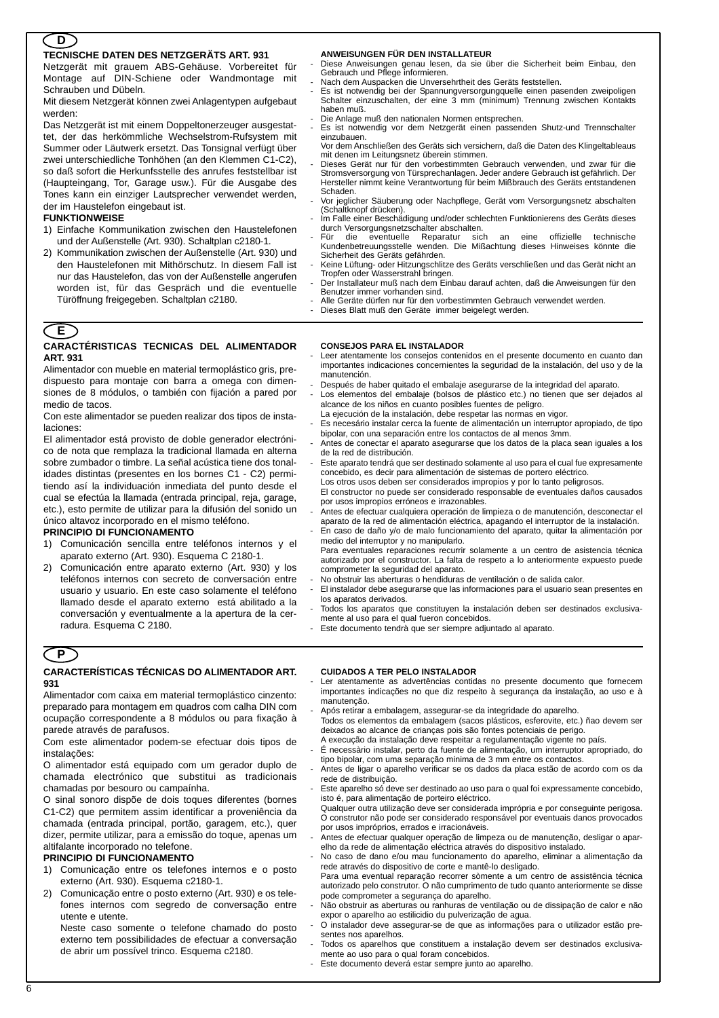# **D**

### **TECNISCHE DATEN DES NETZGERÄTS ART. 931**

Netzgerät mit grauem ABS-Gehäuse. Vorbereitet für Montage auf DIN-Schiene oder Wandmontage mit Schrauben und Dübeln.

Mit diesem Netzgerät können zwei Anlagentypen aufgebaut werden:

Das Netzgerät ist mit einem Doppeltonerzeuger ausgestattet, der das herkömmliche Wechselstrom-Rufsystem mit Summer oder Läutwerk ersetzt. Das Tonsignal verfügt über zwei unterschiedliche Tonhöhen (an den Klemmen C1-C2), so daß sofort die Herkunfsstelle des anrufes feststellbar ist (Haupteingang, Tor, Garage usw.). Für die Ausgabe des Tones kann ein einziger Lautsprecher verwendet werden, der im Haustelefon eingebaut ist.

### **FUNKTIONWEISE**

- 1) Einfache Kommunikation zwischen den Haustelefonen und der Außenstelle (Art. 930). Schaltplan c2180-1.
- 2) Kommunikation zwischen der Außenstelle (Art. 930) und den Haustelefonen mit Mithörschutz. In diesem Fall ist nur das Haustelefon, das von der Außenstelle angerufen worden ist, für das Gespräch und die eventuelle Türöffnung freigegeben. Schaltplan c2180.

#### **ANWEISUNGEN FÜR DEN INSTALLATEUR**

- Diese Anweisungen genau lesen, da sie über die Sicherheit beim Einbau, den Gebrauch und Pflege informieren.
- Nach dem Auspacken die Unversehrtheit des Geräts feststellen.
- Es ist notwendig bei der Spannungversorgungquelle einen pasenden zweipoligen Schalter einzuschalten, der eine 3 mm (minimum) Trennung zwischen Kontakts haben muß.
- Die Anlage muß den nationalen Normen entsprechen.
- Es ist notwendig vor dem Netzgerät einen passenden Shutz-und Trennschalter einzubauen.
	- Vor dem Anschließen des Geräts sich versichern, daß die Daten des Klingeltableaus mit denen im Leitungsnetz überein stimmen.
- Dieses Gerät nur für den vorbestimmten Gebrauch verwenden, und zwar für die Stromsversorgung von Türsprechanlagen. Jeder andere Gebrauch ist gefährlich. Der Hersteller nimmt keine Verantwortung für beim Mißbrauch des Geräts entstandenen Schaden.
- Vor jeglicher Säuberung oder Nachpflege, Gerät vom Versorgungsnetz abschalten (Schaltknopf drücken).
- Im Falle einer Beschädigung und/oder schlechten Funktionierens des Geräts dieses durch Versorgungsnetzschalter abschalten.<br>Für die eventuelle Reparatur sich
- Für die eventuelle Reparatur sich an eine offizielle technische Kundenbetreuungsstelle wenden. Die Mißachtung dieses Hinweises könnte die Sicherheit des Geräts gefährden.
- Keine Lüftung- oder Hitzungschlitze des Geräts verschließen und das Gerät nicht an Tropfen oder Wasserstrahl bringen.
- Der Installateur muß nach dem Einbau darauf achten, daß die Anweisungen für den Benutzer immer vorhanden sind.
- Alle Geräte dürfen nur für den vorbestimmten Gebrauch verwendet werden.
- Dieses Blatt muß den Geräte immer beigelegt werden.

### **E**

#### **CARACTÉRISTICAS TECNICAS DEL ALIMENTADOR ART. 931**

Alimentador con mueble en material termoplástico gris, predispuesto para montaje con barra a omega con dimensiones de 8 módulos, o también con fijación a pared por medio de tacos.

Con este alimentador se pueden realizar dos tipos de instalaciones:

El alimentador está provisto de doble generador electrónico de nota que remplaza la tradicional llamada en alterna sobre zumbador o timbre. La señal acústica tiene dos tonalidades distintas (presentes en los bornes C1 - C2) permitiendo así la individuación inmediata del punto desde el cual se efectúa la llamada (entrada principal, reja, garage, etc.), esto permite de utilizar para la difusión del sonido un único altavoz incorporado en el mismo teléfono.

### **PRINCIPIO DI FUNCIONAMENTO**

- 1) Comunicación sencilla entre teléfonos internos y el aparato externo (Art. 930). Esquema C 2180-1.
- 2) Comunicación entre aparato externo (Art. 930) y los teléfonos internos con secreto de conversación entre usuario y usuario. En este caso solamente el teléfono llamado desde el aparato externo está abilitado a la conversación y eventualmente a la apertura de la cerradura. Esquema C 2180.

#### **CONSEJOS PARA EL INSTALADOR**

- Leer atentamente los consejos contenidos en el presente documento en cuanto dan importantes indicaciones concernientes la seguridad de la instalación, del uso y de la manutención.
- Después de haber quitado el embalaje asegurarse de la integridad del aparato.
- Los elementos del embalaje (bolsos de plástico etc.) no tienen que ser dejados al alcance de los niños en cuanto posibles fuentes de peligro.
- La ejecución de la instalación, debe respetar las normas en vigor.
- Es necesário instalar cerca la fuente de alimentación un interruptor apropiado, de tipo bipolar, con una separación entre los contactos de al menos 3mm.
- Antes de conectar el aparato asegurarse que los datos de la placa sean iguales a los de la red de distribución. Este aparato tendrá que ser destinado solamente al uso para el cual fue expresamente
- concebido, es decir para alimentación de sistemas de portero eléctrico. Los otros usos deben ser considerados impropios y por lo tanto peligrosos. El constructor no puede ser considerado responsable de eventuales daños causados
- por usos impropios erróneos e irrazonables.
- Antes de efectuar cualquiera operación de limpieza o de manutención, desconectar el aparato de la red de alimentación eléctrica, apagando el interruptor de la instalación.
- En caso de daño y/o de malo funcionamiento del aparato, quitar la alimentación por medio del interruptor y no manipularlo. Para eventuales reparaciones recurrir solamente a un centro de asistencia técnica
- autorizado por el constructor. La falta de respeto a lo anteriormente expuesto puede comprometer la seguridad del aparato.
- No obstruir las aberturas o hendiduras de ventilación o de salida calor.
- El instalador debe asegurarse que las informaciones para el usuario sean presentes en los aparatos derivados.
- Todos los aparatos que constituyen la instalación deben ser destinados exclusivamente al uso para el qual fueron concebidos
- Este documento tendrà que ser siempre adjuntado al aparato.

# **P**

#### **CARACTERÍSTICAS TÉCNICAS DO ALIMENTADOR ART. 931**

Alimentador com caixa em material termoplástico cinzento: preparado para montagem em quadros com calha DIN com ocupação correspondente a 8 módulos ou para fixação à parede através de parafusos.

Com este alimentador podem-se efectuar dois tipos de instalações:

O alimentador está equipado com um gerador duplo de chamada electrónico que substitui as tradicionais chamadas por besouro ou campaínha.

O sinal sonoro dispõe de dois toques diferentes (bornes C1-C2) que permitem assim identificar a proveniência da chamada (entrada principal, portão, garagem, etc.), quer dizer, permite utilizar, para a emissão do toque, apenas um altifalante incorporado no telefone.

#### **PRINCIPIO DI FUNCIONAMENTO**

- 1) Comunicação entre os telefones internos e o posto externo (Art. 930). Esquema c2180-1.
- 2) Comunicação entre o posto externo (Art. 930) e os telefones internos com segredo de conversação entre utente e utente.

Neste caso somente o telefone chamado do posto externo tem possibilidades de efectuar a conversação de abrir um possível trinco. Esquema c2180.

#### **CUIDADOS A TER PELO INSTALADOR**

- Ler atentamente as advertências contidas no presente documento que fornecem importantes indicações no que diz respeito à segurança da instalação, ao uso e à manutenção.
	- Após retirar a embalagem, assegurar-se da integridade do aparelho.
- Todos os elementos da embalagem (sacos plásticos, esferovite, etc.) ñao devem ser deixados ao alcance de crianças pois são fontes potenciais de perigo. A execução da instalação deve respeitar a regulamentação vigente no país.
- É necessàrio instalar, perto da fuente de alimentação, um interruptor apropriado, do tipo bipolar, com uma separação minima de 3 mm entre os contactos.
- Antes de ligar o aparelho verificar se os dados da placa estão de acordo com os da rede de distribuição.
- Este aparelho só deve ser destinado ao uso para o qual foi expressamente concebido, isto é, para alimentação de porteiro eléctrico.
- Qualquer outra utilização deve ser considerada imprópria e por conseguinte perigosa. O construtor não pode ser considerado responsável por eventuais danos provocados por usos impróprios, errados e irracionáveis.
- Antes de efectuar qualquer operação de limpeza ou de manutenção, desligar o aparelho da rede de alimentação eléctrica através do dispositivo instalado.
- No caso de dano e/ou mau funcionamento do aparelho, eliminar a alimentação da rede através do dispositivo de corte e mantê-lo desligado.
- Para uma eventual reparação recorrer sòmente a um centro de assistência técnica autorizado pelo construtor. O não cumprimento de tudo quanto anteriormente se disse pode comprometer a segurança do aparelho.
- Não obstruir as aberturas ou ranhuras de ventilação ou de dissipação de calor e não expor o aparelho ao estilicidio du pulverização de agua.
- O instalador deve assegurar-se de que as informações para o utilizador estão presentes nos aparelhos.
- Todos os aparelhos que constituem a instalação devem ser destinados exclusivamente ao uso para o qual foram concebidos.
- Este documento deverá estar sempre junto ao aparelho.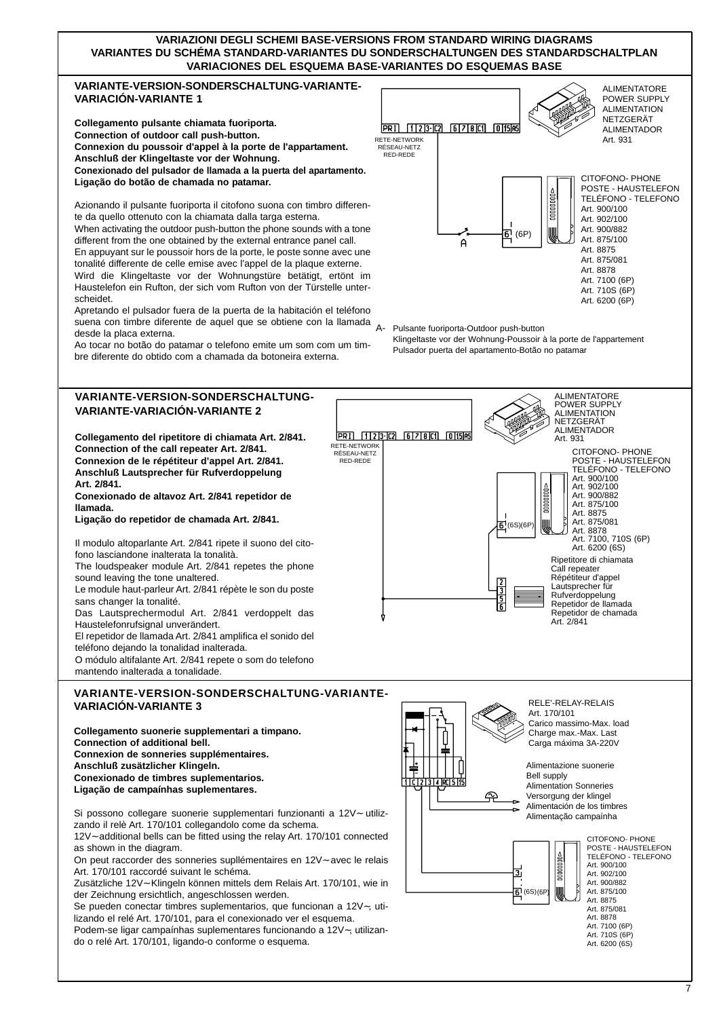## **VARIAZIONI DEGLI SCHEMI BASE-VERSIONS FROM STANDARD WIRING DIAGRAMS VARIANTES DU SCHÉMA STANDARD-VARIANTES DU SONDERSCHALTUNGEN DES STANDARDSCHALTPLAN VARIACIONES DEL ESQUEMA BASE-VARIANTES DO ESQUEMAS BASE**

## **VARIANTE-VERSION-SONDERSCHALTUNG-VARIANTE-VARIACIÓN-VARIANTE 1**

**Collegamento pulsante chiamata fuoriporta. Connection of outdoor call push-button. Connexion du poussoir d'appel à la porte de l'appartament. Anschluß der Klingeltaste vor der Wohnung. Conexionado del pulsador de llamada a la puerta del apartamento. Ligação do botão de chamada no patamar.**

Azionando il pulsante fuoriporta il citofono suona con timbro differente da quello ottenuto con la chiamata dalla targa esterna.

When activating the outdoor push-button the phone sounds with a tone different from the one obtained by the external entrance panel call. En appuyant sur le poussoir hors de la porte, le poste sonne avec une tonalité differente de celle emise avec l'appel de la plaque externe. Wird die Klingeltaste vor der Wohnungstüre betätigt, ertönt im Haustelefon ein Rufton, der sich vom Rufton von der Türstelle unterscheidet.

Apretando el pulsador fuera de la puerta de la habitación el teléfono suena con timbre diferente de aquel que se obtiene con la llamada desde la placa externa.

Ao tocar no botão do patamar o telefono emite um som com um timbre diferente do obtido com a chamada da botoneira externa.

# **VARIANTE-VERSION-SONDERSCHALTUNG-VARIANTE-VARIACIÓN-VARIANTE 2**

**Collegamento del ripetitore di chiamata Art. 2/841. Connection of the call repeater Art. 2/841. Connexion de le répétiteur d'appel Art. 2/841. Anschluß Lautsprecher für Rufverdoppelung Art. 2/841. Conexionado de altavoz Art. 2/841 repetidor de** 

**llamada.**

**Ligação do repetidor de chamada Art. 2/841.**

Il modulo altoparlante Art. 2/841 ripete il suono del citofono lasciandone inalterata la tonalità. The loudspeaker module Art. 2/841 repetes the phone

sound leaving the tone unaltered. Le module haut-parleur Art. 2/841 répète le son du poste sans changer la tonalité. Das Lautsprechermodul Art. 2/841 verdoppelt das Haustelefonrufsignal unverändert. El repetidor de llamada Art. 2/841 amplifica el sonido del

teléfono dejando la tonalidad inalterada. O módulo altifalante Art. 2/841 repete o som do telefono mantendo inalterada a tonalidade.

# **VARIANTE-VERSION-SONDERSCHALTUNG-VARIANTE-VARIACIÓN-VARIANTE 3**

**Collegamento suonerie supplementari a timpano. Connection of additional bell. Connexion de sonneries supplémentaires. Anschluß zusätzlicher Klingeln. Conexionado de timbres suplementarios. Ligação de campaínhas suplementares.**

Si possono collegare suonerie supplementari funzionanti a 12V∼ utilizzando il relè Art. 170/101 collegandolo come da schema.

12V∼ additional bells can be fitted using the relay Art. 170/101 connected as shown in the diagram.

On peut raccorder des sonneries supllémentaires en 12V∼ avec le relais Art. 170/101 raccordé suivant le schéma.

Zusätzliche 12V∼ Klingeln können mittels dem Relais Art. 170/101, wie in der Zeichnung ersichtlich, angeschlossen werden.

Se pueden conectar timbres suplementarios, que funcionan a 12V∼, utilizando el relé Art. 170/101, para el conexionado ver el esquema.

Podem-se ligar campaínhas suplementares funcionando a 12V∼, utilizando o relé Art. 170/101, ligando-o conforme o esquema.



A- Pulsante fuoriporta-Outdoor push-button

Klingeltaste vor der Wohnung-Poussoir à la porte de l'appartement Pulsador puerta del apartamento-Botão no patamar